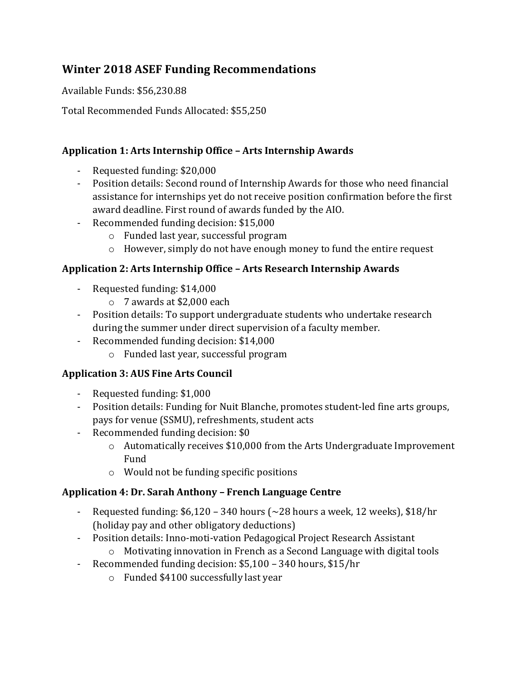# **Winter 2018 ASEF Funding Recommendations**

Available Funds: \$56,230.88

Total Recommended Funds Allocated: \$55,250

#### **Application 1: Arts Internship Office - Arts Internship Awards**

- Requested funding: \$20,000
- Position details: Second round of Internship Awards for those who need financial assistance for internships yet do not receive position confirmation before the first award deadline. First round of awards funded by the AIO.
- Recommended funding decision: \$15,000
	- $\circ$  Funded last year, successful program
	- o However, simply do not have enough money to fund the entire request

#### Application 2: Arts Internship Office - Arts Research Internship Awards

- Requested funding: \$14,000
	- $\circ$  7 awards at \$2,000 each
- Position details: To support undergraduate students who undertake research during the summer under direct supervision of a faculty member.
- Recommended funding decision: \$14,000
	- o Funded last year, successful program

#### **Application 3: AUS Fine Arts Council**

- Requested funding: \$1,000
- Position details: Funding for Nuit Blanche, promotes student-led fine arts groups, pays for venue (SSMU), refreshments, student acts
- Recommended funding decision: \$0
	- $\circ$  Automatically receives \$10,000 from the Arts Undergraduate Improvement Fund
	- $\circ$  Would not be funding specific positions

#### **Application 4: Dr. Sarah Anthony – French Language Centre**

- Requested funding:  $$6,120 340$  hours ( $\sim$ 28 hours a week, 12 weeks),  $$18/hr$ (holiday pay and other obligatory deductions)
- Position details: Inno-moti-vation Pedagogical Project Research Assistant  $\circ$  Motivating innovation in French as a Second Language with digital tools
- Recommended funding decision: \$5,100 340 hours, \$15/hr
	- $\circ$  Funded \$4100 successfully last year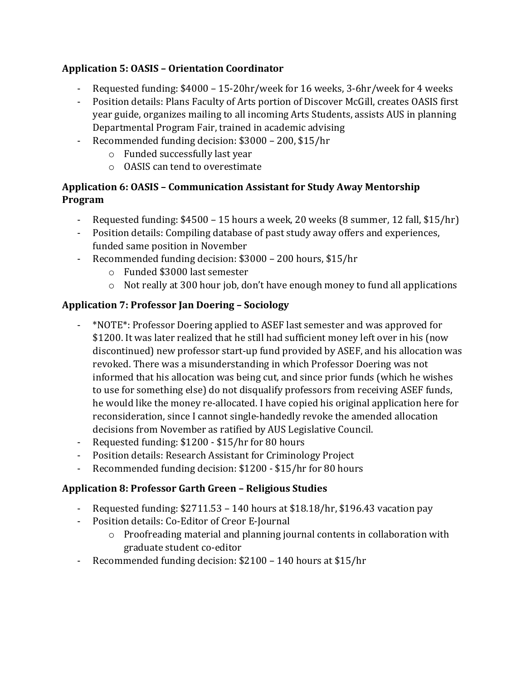### **Application 5: OASIS – Orientation Coordinator**

- Requested funding:  $$4000 15-20$ hr/week for 16 weeks, 3-6hr/week for 4 weeks
- Position details: Plans Faculty of Arts portion of Discover McGill, creates OASIS first year guide, organizes mailing to all incoming Arts Students, assists AUS in planning Departmental Program Fair, trained in academic advising
- Recommended funding decision: \$3000 200, \$15/hr
	- $\circ$  Funded successfully last year
	- $\circ$  OASIS can tend to overestimate

#### **Application 6: OASIS – Communication Assistant for Study Away Mentorship Program**

- Requested funding:  $$4500 15$  hours a week, 20 weeks (8 summer, 12 fall,  $$15/hr$ )
- Position details: Compiling database of past study away offers and experiences, funded same position in November
- Recommended funding decision: \$3000 200 hours, \$15/hr
	- o Funded \$3000 last semester
	- $\circ$  Not really at 300 hour job, don't have enough money to fund all applications

## **Application 7: Professor Jan Doering – Sociology**

- \*NOTE\*: Professor Doering applied to ASEF last semester and was approved for \$1200. It was later realized that he still had sufficient money left over in his (now discontinued) new professor start-up fund provided by ASEF, and his allocation was revoked. There was a misunderstanding in which Professor Doering was not informed that his allocation was being cut, and since prior funds (which he wishes to use for something else) do not disqualify professors from receiving ASEF funds, he would like the money re-allocated. I have copied his original application here for reconsideration, since I cannot single-handedly revoke the amended allocation decisions from November as ratified by AUS Legislative Council.
- Requested funding: \$1200 \$15/hr for 80 hours
- Position details: Research Assistant for Criminology Project
- Recommended funding decision: \$1200 \$15/hr for 80 hours

## **Application 8: Professor Garth Green – Religious Studies**

- Requested funding:  $$2711.53 140$  hours at  $$18.18/hr$ ,  $$196.43$  vacation pay
- Position details: Co-Editor of Creor E-Journal
	- $\circ$  Proofreading material and planning journal contents in collaboration with graduate student co-editor
- Recommended funding decision: \$2100 140 hours at \$15/hr